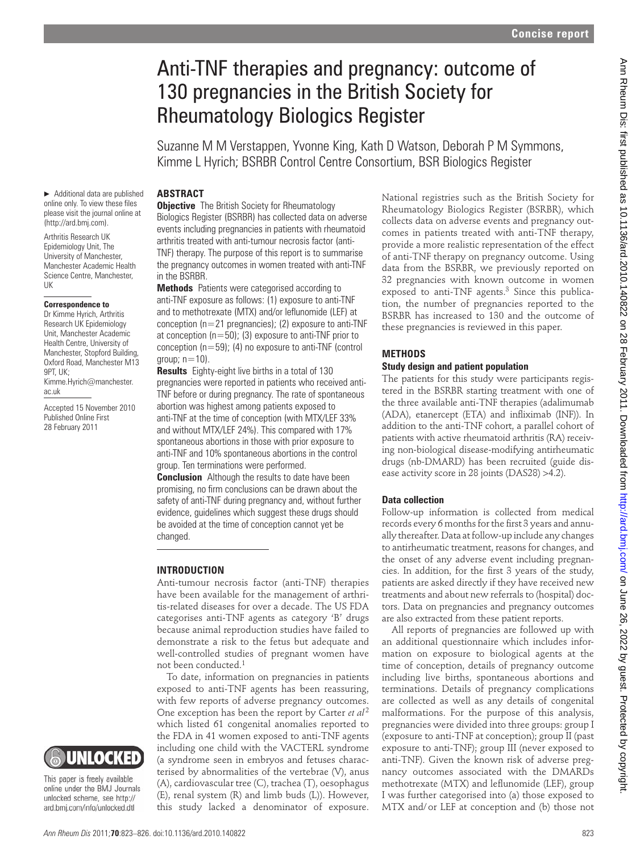# Anti-TNF therapies and pregnancy: outcome of 130 pregnancies in the British Society for Rheumatology Biologics Register

 Suzanne M M Verstappen, Yvonne King, Kath D Watson, Deborah P M Symmons, Kimme L Hyrich; BSRBR Control Centre Consortium, BSR Biologics Register

# **ABSTRACT**

▶ Additional data are published online only. To view these files please visit the journal online at (http://ard.bmj.com).

 Arthritis Research UK Epidemiology Unit, The University of Manchester, Manchester Academic Health Science Centre, Manchester, UK

#### **Correspondence to**

Dr Kimme Hyrich, Arthritis Research UK Epidemiology Unit, Manchester Academic Health Centre, University of Manchester, Stopford Building, Oxford Road, Manchester M13  $9PT$ ,  $11K$  Kimme.Hyrich@manchester. ac.uk

Accepted 15 November 2010 Published Online First 28 February 2011

**Objective** The British Society for Rheumatology Biologics Register (BSRBR) has collected data on adverse events including pregnancies in patients with rheumatoid arthritis treated with anti-tumour necrosis factor (anti-TNF) therapy. The purpose of this report is to summarise the pregnancy outcomes in women treated with anti-TNF in the BSRBR.

 **Methods** Patients were categorised according to anti-TNF exposure as follows: (1) exposure to anti-TNF and to methotrexate (MTX) and/or leflunomide (LEF) at conception ( $n=21$  pregnancies); (2) exposure to anti-TNF at conception  $(n=50)$ ; (3) exposure to anti-TNF prior to conception ( $n=59$ ); (4) no exposure to anti-TNF (control group;  $n=10$ ).

 **Results** Eighty-eight live births in a total of 130 pregnancies were reported in patients who received anti-TNF before or during pregnancy. The rate of spontaneous abortion was highest among patients exposed to anti-TNF at the time of conception (with MTX/LEF 33% and without MTX/LEF 24%). This compared with 17% spontaneous abortions in those with prior exposure to anti-TNF and 10% spontaneous abortions in the control group. Ten terminations were performed.

 **Conclusion** Although the results to date have been promising, no firm conclusions can be drawn about the safety of anti-TNF during pregnancy and, without further evidence, guidelines which suggest these drugs should be avoided at the time of conception cannot yet be changed.

## **INTRODUCTION**

Anti-tumour necrosis factor (anti-TNF) therapies have been available for the management of arthritis-related diseases for over a decade. The US FDA categorises anti-TNF agents as category 'B' drugs because animal reproduction studies have failed to demonstrate a risk to the fetus but adequate and well-controlled studies of pregnant women have not been conducted. 1

To date, information on pregnancies in patients exposed to anti-TNF agents has been reassuring, with few reports of adverse pregnancy outcomes. One exception has been the report by Carter *et al*<sup>2</sup> which listed 61 congenital anomalies reported to the FDA in 41 women exposed to anti-TNF agents including one child with the VACTERL syndrome (a syndrome seen in embryos and fetuses characterised by abnormalities of the vertebrae (V), anus (A), cardiovascular tree (C), trachea (T), oesophagus (E), renal system (R) and limb buds (L)). However, this study lacked a denominator of exposure.

National registries such as the British Society for Rheumatology Biologics Register (BSRBR), which collects data on adverse events and pregnancy outcomes in patients treated with anti-TNF therapy, provide a more realistic representation of the effect of anti-TNF therapy on pregnancy outcome. Using data from the BSRBR, we previously reported on 32 pregnancies with known outcome in women exposed to anti-TNF agents.<sup>3</sup> Since this publication, the number of pregnancies reported to the BSRBR has increased to 130 and the outcome of these pregnancies is reviewed in this paper.

## **METHODS**

## **Study design and patient population**

The patients for this study were participants registered in the BSRBR starting treatment with one of the three available anti-TNF therapies (adalimumab (ADA), etanercept (ETA) and infliximab (INF)). In addition to the anti-TNF cohort, a parallel cohort of patients with active rheumatoid arthritis (RA) receiving non-biological disease- modifying antirheumatic drugs (nb-DMARD) has been recruited (guide disease activity score in 28 joints (DAS28) >4.2).

## **Data collection**

Follow-up information is collected from medical records every 6 months for the first 3 years and annually thereafter. Data at follow-up include any changes to antirheumatic treatment, reasons for changes, and the onset of any adverse event including pregnancies. In addition, for the first 3 years of the study, patients are asked directly if they have received new treatments and about new referrals to (hospital) doctors. Data on pregnancies and pregnancy outcomes are also extracted from these patient reports.

All reports of pregnancies are followed up with an additional questionnaire which includes information on exposure to biological agents at the time of conception, details of pregnancy outcome including live births, spontaneous abortions and terminations. Details of pregnancy complications are collected as well as any details of congenital malformations. For the purpose of this analysis, pregnancies were divided into three groups: group I (exposure to anti-TNF at conception); group II (past exposure to anti-TNF); group III (never exposed to anti-TNF). Given the known risk of adverse pregnancy outcomes associated with the DMARDs methotrexate (MTX) and leflunomide (LEF), group I was further categorised into (a) those exposed to MTX and/ or LEF at conception and (b) those not Annih The Hamptonia and Dependicular Computer Computer Computer Computer Computer Computer Computer Computer Computer Computer Computer Computer Computer Computer Computer Computer Computer Computer Computer Computer Comp

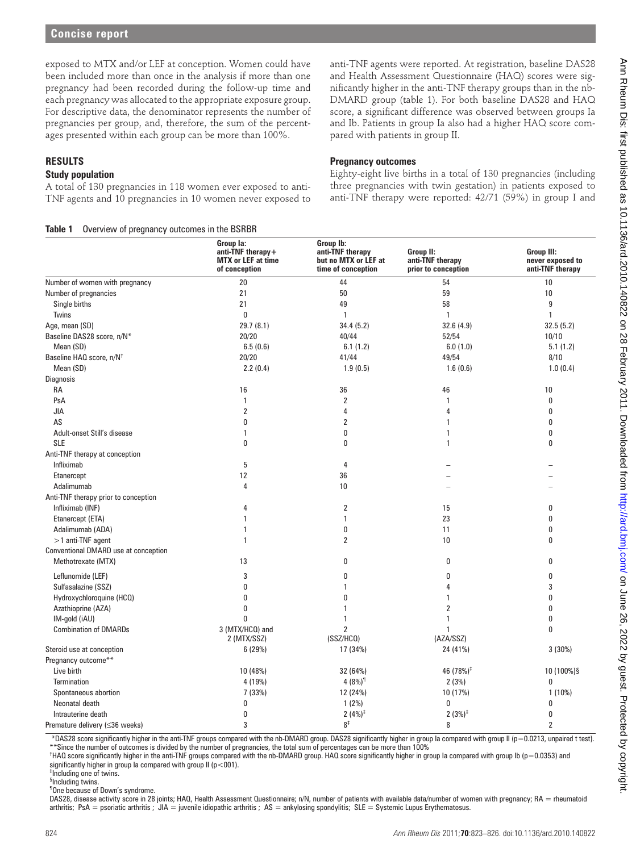# **RESULTS**

#### **Study population**

**Table 1** Overview of pregnancy outcomes in the BSRBR

## **Pregnancy outcomes**

| <b>RESULTS</b><br><b>Study population</b><br>A total of 130 pregnancies in 118 women ever exposed to anti-<br>TNF agents and 10 pregnancies in 10 women never exposed to<br>Overview of pregnancy outcomes in the BSRBR<br>Table 1                                                                                                                                                                                                                                                                                                                                                                                                                                                                                         |                                                                                 | <b>Pregnancy outcomes</b>                                                   | Eighty-eight live births in a total of 130 pregnancies (including<br>three pregnancies with twin gestation) in patients exposed to<br>anti-TNF therapy were reported: 42/71 (59%) in group I and |                                                    |
|----------------------------------------------------------------------------------------------------------------------------------------------------------------------------------------------------------------------------------------------------------------------------------------------------------------------------------------------------------------------------------------------------------------------------------------------------------------------------------------------------------------------------------------------------------------------------------------------------------------------------------------------------------------------------------------------------------------------------|---------------------------------------------------------------------------------|-----------------------------------------------------------------------------|--------------------------------------------------------------------------------------------------------------------------------------------------------------------------------------------------|----------------------------------------------------|
|                                                                                                                                                                                                                                                                                                                                                                                                                                                                                                                                                                                                                                                                                                                            | Group la:<br>$anti-TNF$ therapy +<br><b>MTX or LEF at time</b><br>of conception | Group Ib:<br>anti-TNF therapy<br>but no MTX or LEF at<br>time of conception | Group II:<br>anti-TNF therapy<br>prior to conception                                                                                                                                             | Group III:<br>never exposed to<br>anti-TNF therapy |
| Number of women with pregnancy                                                                                                                                                                                                                                                                                                                                                                                                                                                                                                                                                                                                                                                                                             | 20                                                                              | 44                                                                          | 54                                                                                                                                                                                               | 10                                                 |
| Number of pregnancies                                                                                                                                                                                                                                                                                                                                                                                                                                                                                                                                                                                                                                                                                                      | 21                                                                              | 50                                                                          | 59                                                                                                                                                                                               | 10                                                 |
| Single births                                                                                                                                                                                                                                                                                                                                                                                                                                                                                                                                                                                                                                                                                                              | 21                                                                              | 49                                                                          | 58                                                                                                                                                                                               | 9                                                  |
| Twins                                                                                                                                                                                                                                                                                                                                                                                                                                                                                                                                                                                                                                                                                                                      | 0                                                                               | 1                                                                           | -1                                                                                                                                                                                               | $\overline{1}$                                     |
| Age, mean (SD)                                                                                                                                                                                                                                                                                                                                                                                                                                                                                                                                                                                                                                                                                                             | 29.7 (8.1)                                                                      | 34.4(5.2)                                                                   | 32.6(4.9)                                                                                                                                                                                        | 32.5(5.2)                                          |
| Baseline DAS28 score, n/N*                                                                                                                                                                                                                                                                                                                                                                                                                                                                                                                                                                                                                                                                                                 | 20/20                                                                           | 40/44                                                                       | 52/54                                                                                                                                                                                            | 10/10                                              |
| Mean (SD)                                                                                                                                                                                                                                                                                                                                                                                                                                                                                                                                                                                                                                                                                                                  | 6.5(0.6)                                                                        | 6.1(1.2)                                                                    | 6.0(1.0)                                                                                                                                                                                         | 5.1(1.2)                                           |
| Baseline HAQ score, n/N <sup>+</sup>                                                                                                                                                                                                                                                                                                                                                                                                                                                                                                                                                                                                                                                                                       | 20/20                                                                           | 41/44                                                                       | 49/54                                                                                                                                                                                            | 8/10                                               |
| Mean (SD)                                                                                                                                                                                                                                                                                                                                                                                                                                                                                                                                                                                                                                                                                                                  | 2.2(0.4)                                                                        | 1.9(0.5)                                                                    | 1.6(0.6)                                                                                                                                                                                         | 1.0(0.4)                                           |
| Diagnosis                                                                                                                                                                                                                                                                                                                                                                                                                                                                                                                                                                                                                                                                                                                  |                                                                                 |                                                                             |                                                                                                                                                                                                  |                                                    |
| RA                                                                                                                                                                                                                                                                                                                                                                                                                                                                                                                                                                                                                                                                                                                         | 16                                                                              | 36                                                                          | 46                                                                                                                                                                                               | 10                                                 |
| PsA<br><b>JIA</b>                                                                                                                                                                                                                                                                                                                                                                                                                                                                                                                                                                                                                                                                                                          | $\mathbf{1}$<br>2                                                               | 2<br>4                                                                      | 4                                                                                                                                                                                                | 0<br>0                                             |
| AS                                                                                                                                                                                                                                                                                                                                                                                                                                                                                                                                                                                                                                                                                                                         | 0                                                                               | 2                                                                           |                                                                                                                                                                                                  | 0                                                  |
| Adult-onset Still's disease                                                                                                                                                                                                                                                                                                                                                                                                                                                                                                                                                                                                                                                                                                | 1                                                                               | 0                                                                           |                                                                                                                                                                                                  | 0                                                  |
| <b>SLE</b>                                                                                                                                                                                                                                                                                                                                                                                                                                                                                                                                                                                                                                                                                                                 | 0                                                                               | 0                                                                           | 1                                                                                                                                                                                                | 0                                                  |
| Anti-TNF therapy at conception                                                                                                                                                                                                                                                                                                                                                                                                                                                                                                                                                                                                                                                                                             |                                                                                 |                                                                             |                                                                                                                                                                                                  |                                                    |
| Infliximab                                                                                                                                                                                                                                                                                                                                                                                                                                                                                                                                                                                                                                                                                                                 | 5                                                                               | 4                                                                           |                                                                                                                                                                                                  |                                                    |
| Etanercept                                                                                                                                                                                                                                                                                                                                                                                                                                                                                                                                                                                                                                                                                                                 | 12                                                                              | 36                                                                          |                                                                                                                                                                                                  |                                                    |
| Adalimumab                                                                                                                                                                                                                                                                                                                                                                                                                                                                                                                                                                                                                                                                                                                 | 4                                                                               | 10                                                                          |                                                                                                                                                                                                  |                                                    |
| Anti-TNF therapy prior to conception                                                                                                                                                                                                                                                                                                                                                                                                                                                                                                                                                                                                                                                                                       |                                                                                 |                                                                             |                                                                                                                                                                                                  |                                                    |
| Infliximab (INF)                                                                                                                                                                                                                                                                                                                                                                                                                                                                                                                                                                                                                                                                                                           | 4                                                                               | $\overline{2}$                                                              | 15                                                                                                                                                                                               | 0                                                  |
| Etanercept (ETA)                                                                                                                                                                                                                                                                                                                                                                                                                                                                                                                                                                                                                                                                                                           |                                                                                 | 1                                                                           | 23                                                                                                                                                                                               |                                                    |
| Adalimumab (ADA)                                                                                                                                                                                                                                                                                                                                                                                                                                                                                                                                                                                                                                                                                                           |                                                                                 | 0                                                                           | 11                                                                                                                                                                                               | 0                                                  |
| >1 anti-TNF agent                                                                                                                                                                                                                                                                                                                                                                                                                                                                                                                                                                                                                                                                                                          |                                                                                 | $\mathcal{P}$                                                               | 10                                                                                                                                                                                               |                                                    |
| Conventional DMARD use at conception                                                                                                                                                                                                                                                                                                                                                                                                                                                                                                                                                                                                                                                                                       |                                                                                 |                                                                             |                                                                                                                                                                                                  |                                                    |
| Methotrexate (MTX)                                                                                                                                                                                                                                                                                                                                                                                                                                                                                                                                                                                                                                                                                                         | 13                                                                              | 0                                                                           | 0                                                                                                                                                                                                | 0                                                  |
| Leflunomide (LEF)                                                                                                                                                                                                                                                                                                                                                                                                                                                                                                                                                                                                                                                                                                          | 3                                                                               | 0                                                                           |                                                                                                                                                                                                  | 0                                                  |
| Sulfasalazine (SSZ)                                                                                                                                                                                                                                                                                                                                                                                                                                                                                                                                                                                                                                                                                                        | O                                                                               |                                                                             |                                                                                                                                                                                                  | 3                                                  |
| Hydroxychloroquine (HCQ)                                                                                                                                                                                                                                                                                                                                                                                                                                                                                                                                                                                                                                                                                                   | 0                                                                               | 0                                                                           |                                                                                                                                                                                                  | 0                                                  |
| Azathioprine (AZA)                                                                                                                                                                                                                                                                                                                                                                                                                                                                                                                                                                                                                                                                                                         | 0<br>O                                                                          | 1                                                                           | 2                                                                                                                                                                                                | 0                                                  |
| IM-gold (iAU)<br><b>Combination of DMARDs</b>                                                                                                                                                                                                                                                                                                                                                                                                                                                                                                                                                                                                                                                                              | 3 (MTX/HCQ) and                                                                 | 1<br>$\overline{2}$                                                         |                                                                                                                                                                                                  | 0<br>$\mathbf{0}$                                  |
|                                                                                                                                                                                                                                                                                                                                                                                                                                                                                                                                                                                                                                                                                                                            | 2 (MTX/SSZ)                                                                     | (SSZ/HCQ)                                                                   | (AZA/SSZ)                                                                                                                                                                                        |                                                    |
| Steroid use at conception                                                                                                                                                                                                                                                                                                                                                                                                                                                                                                                                                                                                                                                                                                  | 6(29%)                                                                          | 17 (34%)                                                                    | 24 (41%)                                                                                                                                                                                         | 3(30%)                                             |
| Pregnancy outcome**                                                                                                                                                                                                                                                                                                                                                                                                                                                                                                                                                                                                                                                                                                        |                                                                                 |                                                                             |                                                                                                                                                                                                  |                                                    |
| Live birth                                                                                                                                                                                                                                                                                                                                                                                                                                                                                                                                                                                                                                                                                                                 | 10 (48%)                                                                        | 32 (64%)                                                                    | 46 (78%) <sup>‡</sup>                                                                                                                                                                            | 10 (100%)§                                         |
| <b>Termination</b>                                                                                                                                                                                                                                                                                                                                                                                                                                                                                                                                                                                                                                                                                                         | 4 (19%)                                                                         | $4(8%)$ <sup>1</sup>                                                        | 2(3%)                                                                                                                                                                                            | 0                                                  |
| Spontaneous abortion                                                                                                                                                                                                                                                                                                                                                                                                                                                                                                                                                                                                                                                                                                       | 7(33%)                                                                          | 12 (24%)                                                                    | 10 (17%)                                                                                                                                                                                         | $1(10\%)$                                          |
| Neonatal death                                                                                                                                                                                                                                                                                                                                                                                                                                                                                                                                                                                                                                                                                                             | 0                                                                               | 1(2%)                                                                       | 0                                                                                                                                                                                                | 0                                                  |
| Intrauterine death                                                                                                                                                                                                                                                                                                                                                                                                                                                                                                                                                                                                                                                                                                         | 0                                                                               | $2(4%)^{\ddagger}$                                                          | $2(3%)^{\ddagger}$                                                                                                                                                                               | 0                                                  |
| Premature delivery (≤36 weeks)                                                                                                                                                                                                                                                                                                                                                                                                                                                                                                                                                                                                                                                                                             | 3                                                                               | 8 <sup>†</sup>                                                              | 8                                                                                                                                                                                                | $\overline{2}$                                     |
| *DAS28 score significantly higher in the anti-TNF groups compared with the nb-DMARD group. DAS28 significantly higher in group la compared with group II (p=0.0213, unpaired t test).<br>** Since the number of outcomes is divided by the number of pregnancies, the total sum of percentages can be more than 100%<br><sup>†</sup> HAQ score significantly higher in the anti-TNF groups compared with the nb-DMARD group. HAQ score significantly higher in group la compared with group lb (p=0.0353) and<br>significantly higher in group la compared with group $\mathbb{I}$ ( $p < 001$ ).<br><sup>‡</sup> Including one of twins.<br><sup>§</sup> Including twins.<br><sup>1</sup> One because of Down's syndrome. |                                                                                 |                                                                             |                                                                                                                                                                                                  |                                                    |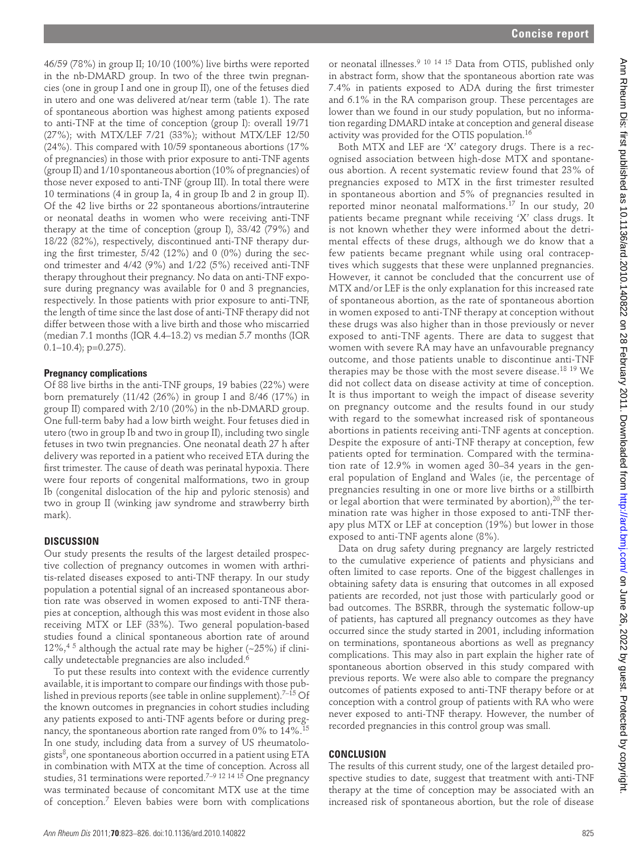46/59 (78%) in group II; 10/10 (100%) live births were reported in the nb-DMARD group. In two of the three twin pregnancies (one in group I and one in group II), one of the fetuses died in utero and one was delivered at/near term (table 1). The rate of spontaneous abortion was highest among patients exposed to anti-TNF at the time of conception (group I): overall 19/71 (27%); with MTX/LEF 7/21 (33%); without MTX/LEF 12/50 (24%). This compared with 10/59 spontaneous abortions (17% of pregnancies) in those with prior exposure to anti-TNF agents (group II) and 1/10 spontaneous abortion (10% of pregnancies) of those never exposed to anti-TNF (group III). In total there were 10 terminations (4 in group Ia, 4 in group Ib and 2 in group II). Of the 42 live births or 22 spontaneous abortions/intrauterine or neonatal deaths in women who were receiving anti-TNF therapy at the time of conception (group I), 33/42 (79%) and 18/22 (82%), respectively, discontinued anti-TNF therapy during the first trimester,  $5/42$  (12%) and 0 (0%) during the second trimester and 4/42 (9%) and 1/22 (5%) received anti-TNF therapy throughout their pregnancy. No data on anti-TNF exposure during pregnancy was available for 0 and 3 pregnancies, respectively. In those patients with prior exposure to anti-TNF, the length of time since the last dose of anti-TNF therapy did not differ between those with a live birth and those who miscarried (median 7.1 months (IQR 4.4–13.2) vs median 5.7 months (IQR  $0.1-10.4$ ; p= $0.275$ ).

#### **Pregnancy complications**

Of 88 live births in the anti-TNF groups, 19 babies (22%) were born prematurely  $(11/42 \ (26\%)$  in group I and 8/46  $(17\%)$  in group II) compared with 2/10 (20%) in the nb-DMARD group. One full-term baby had a low birth weight. Four fetuses died in utero (two in group Ib and two in group II), including two single fetuses in two twin pregnancies. One neonatal death 27 h after delivery was reported in a patient who received ETA during the first trimester. The cause of death was perinatal hypoxia. There were four reports of congenital malformations, two in group Ib (congenital dislocation of the hip and pyloric stenosis) and two in group II (winking jaw syndrome and strawberry birth mark).

#### **DISCUSSION**

Our study presents the results of the largest detailed prospective collection of pregnancy outcomes in women with arthritis-related diseases exposed to anti-TNF therapy. In our study population a potential signal of an increased spontaneous abortion rate was observed in women exposed to anti-TNF therapies at conception, although this was most evident in those also receiving MTX or LEF (33%). Two general population-based studies found a clinical spontaneous abortion rate of around 12%,  $4\frac{5}{7}$  although the actual rate may be higher (~25%) if clinically undetectable pregnancies are also included. 6

To put these results into context with the evidence currently available, it is important to compare our findings with those published in previous reports (see table in online supplement).<sup>7-15</sup> Of the known outcomes in pregnancies in cohort studies including any patients exposed to anti-TNF agents before or during pregnancy, the spontaneous abortion rate ranged from 0% to 14%. 15 In one study, including data from a survey of US rheumatologists $\delta$ , one spontaneous abortion occurred in a patient using ETA in combination with MTX at the time of conception. Across all studies, 31 terminations were reported.<sup>7–9 12 14 15</sup> One pregnancy was terminated because of concomitant MTX use at the time of conception.<sup>7</sup> Eleven babies were born with complications

or neonatal illnesses.<sup>9 10 14 15</sup> Data from OTIS, published only in abstract form, show that the spontaneous abortion rate was 7.4% in patients exposed to ADA during the first trimester and 6.1% in the RA comparison group. These percentages are lower than we found in our study population, but no information regarding DMARD intake at conception and general disease activity was provided for the OTIS population. 16

Both MTX and LEF are 'X' category drugs. There is a recognised association between high-dose MTX and spontaneous abortion. A recent systematic review found that 23% of pregnancies exposed to MTX in the first trimester resulted in spontaneous abortion and 5% of pregnancies resulted in reported minor neonatal malformations.<sup>17</sup> In our study, 20 patients became pregnant while receiving 'X' class drugs. It is not known whether they were informed about the detrimental effects of these drugs, although we do know that a few patients became pregnant while using oral contraceptives which suggests that these were unplanned pregnancies. However, it cannot be concluded that the concurrent use of MTX and/or LEF is the only explanation for this increased rate of spontaneous abortion, as the rate of spontaneous abortion in women exposed to anti-TNF therapy at conception without these drugs was also higher than in those previously or never exposed to anti-TNF agents. There are data to suggest that women with severe RA may have an unfavourable pregnancy outcome, and those patients unable to discontinue anti-TNF therapies may be those with the most severe disease. 18 19 We did not collect data on disease activity at time of conception. It is thus important to weigh the impact of disease severity on pregnancy outcome and the results found in our study with regard to the somewhat increased risk of spontaneous abortions in patients receiving anti-TNF agents at conception. Despite the exposure of anti-TNF therapy at conception, few patients opted for termination. Compared with the termination rate of 12.9% in women aged 30–34 years in the general population of England and Wales (ie, the percentage of pregnancies resulting in one or more live births or a stillbirth or legal abortion that were terminated by abortion),  $20$  the termination rate was higher in those exposed to anti-TNF therapy plus MTX or LEF at conception (19%) but lower in those exposed to anti-TNF agents alone (8%). 19.23. The specific energy of the specific energy of the specific energy in the specific energy in the specific energy in the specific energy in the specific energy in the specific energy in the specific energy in the sp

Data on drug safety during pregnancy are largely restricted to the cumulative experience of patients and physicians and often limited to case reports. One of the biggest challenges in obtaining safety data is ensuring that outcomes in all exposed patients are recorded, not just those with particularly good or bad outcomes. The BSRBR, through the systematic follow-up of patients, has captured all pregnancy outcomes as they have occurred since the study started in 2001, including information on terminations, spontaneous abortions as well as pregnancy complications. This may also in part explain the higher rate of spontaneous abortion observed in this study compared with previous reports. We were also able to compare the pregnancy outcomes of patients exposed to anti-TNF therapy before or at conception with a control group of patients with RA who were never exposed to anti-TNF therapy. However, the number of recorded pregnancies in this control group was small.

### **CONCLUSION**

The results of this current study, one of the largest detailed prospective studies to date, suggest that treatment with anti-TNF therapy at the time of conception may be associated with an increased risk of spontaneous abortion, but the role of disease